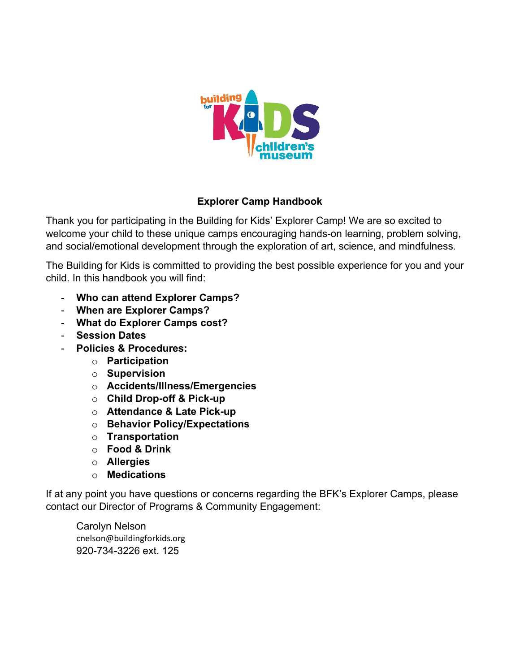

### **Explorer Camp Handbook**

Thank you for participating in the Building for Kids' Explorer Camp! We are so excited to welcome your child to these unique camps encouraging hands-on learning, problem solving, and social/emotional development through the exploration of art, science, and mindfulness.

The Building for Kids is committed to providing the best possible experience for you and your child. In this handbook you will find:

- **Who can attend Explorer Camps?**
- **When are Explorer Camps?**
- **What do Explorer Camps cost?**
- **Session Dates**
- **Policies & Procedures:**
	- o **Participation**
	- o **Supervision**
	- o **Accidents/Illness/Emergencies**
	- o **Child Drop-off & Pick-up**
	- o **Attendance & Late Pick-up**
	- o **Behavior Policy/Expectations**
	- o **Transportation**
	- o **Food & Drink**
	- o **Allergies**
	- o **Medications**

If at any point you have questions or concerns regarding the BFK's Explorer Camps, please contact our Director of Programs & Community Engagement:

Carolyn Nelson cnelson@buildingforkids.org 920-734-3226 ext. 125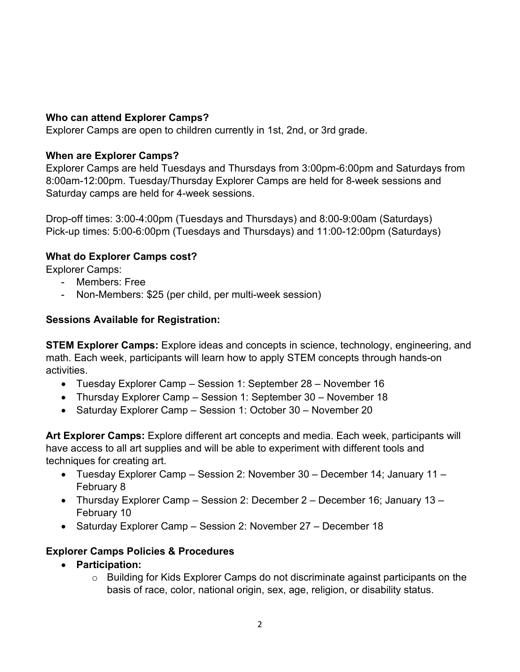### **Who can attend Explorer Camps?**

Explorer Camps are open to children currently in 1st, 2nd, or 3rd grade.

### **When are Explorer Camps?**

Explorer Camps are held Tuesdays and Thursdays from 3:00pm-6:00pm and Saturdays from 8:00am-12:00pm. Tuesday/Thursday Explorer Camps are held for 8-week sessions and Saturday camps are held for 4-week sessions.

Drop-off times: 3:00-4:00pm (Tuesdays and Thursdays) and 8:00-9:00am (Saturdays) Pick-up times: 5:00-6:00pm (Tuesdays and Thursdays) and 11:00-12:00pm (Saturdays)

# **What do Explorer Camps cost?**

Explorer Camps:

- Members: Free
- Non-Members: \$25 (per child, per multi-week session)

# **Sessions Available for Registration:**

**STEM Explorer Camps:** Explore ideas and concepts in science, technology, engineering, and math. Each week, participants will learn how to apply STEM concepts through hands-on activities.

- Tuesday Explorer Camp Session 1: September 28 November 16
- Thursday Explorer Camp Session 1: September 30 November 18
- Saturday Explorer Camp Session 1: October 30 November 20

**Art Explorer Camps:** Explore different art concepts and media. Each week, participants will have access to all art supplies and will be able to experiment with different tools and techniques for creating art.

- Tuesday Explorer Camp Session 2: November 30 December 14; January 11 February 8
- Thursday Explorer Camp Session 2: December 2 December 16; January 13 February 10
- Saturday Explorer Camp Session 2: November 27 December 18

# **Explorer Camps Policies & Procedures**

- **Participation:** 
	- o Building for Kids Explorer Camps do not discriminate against participants on the basis of race, color, national origin, sex, age, religion, or disability status.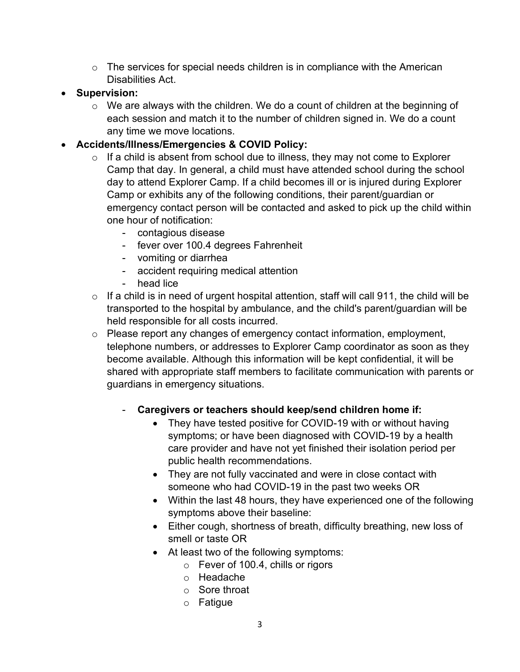- $\circ$  The services for special needs children is in compliance with the American Disabilities Act.
- **Supervision:**
	- $\circ$  We are always with the children. We do a count of children at the beginning of each session and match it to the number of children signed in. We do a count any time we move locations.
- **Accidents/Illness/Emergencies & COVID Policy:** 
	- $\circ$  If a child is absent from school due to illness, they may not come to Explorer Camp that day. In general, a child must have attended school during the school day to attend Explorer Camp. If a child becomes ill or is injured during Explorer Camp or exhibits any of the following conditions, their parent/guardian or emergency contact person will be contacted and asked to pick up the child within one hour of notification:
		- contagious disease
		- fever over 100.4 degrees Fahrenheit
		- vomiting or diarrhea
		- accident requiring medical attention
		- head lice
	- $\circ$  If a child is in need of urgent hospital attention, staff will call 911, the child will be transported to the hospital by ambulance, and the child's parent/guardian will be held responsible for all costs incurred.
	- o Please report any changes of emergency contact information, employment, telephone numbers, or addresses to Explorer Camp coordinator as soon as they become available. Although this information will be kept confidential, it will be shared with appropriate staff members to facilitate communication with parents or guardians in emergency situations.
		- Caregivers or teachers should keep/send children home if:
			- They have tested positive for COVID-19 with or without having symptoms; or have been diagnosed with COVID-19 by a health care provider and have not yet finished their isolation period per public health recommendations.
			- They are not fully vaccinated and were in close contact with someone who had COVID-19 in the past two weeks OR
			- Within the last 48 hours, they have experienced one of the following symptoms above their baseline:
			- Either cough, shortness of breath, difficulty breathing, new loss of smell or taste OR
			- At least two of the following symptoms:
				- o Fever of 100.4, chills or rigors
				- o Headache
				- o Sore throat
				- o Fatigue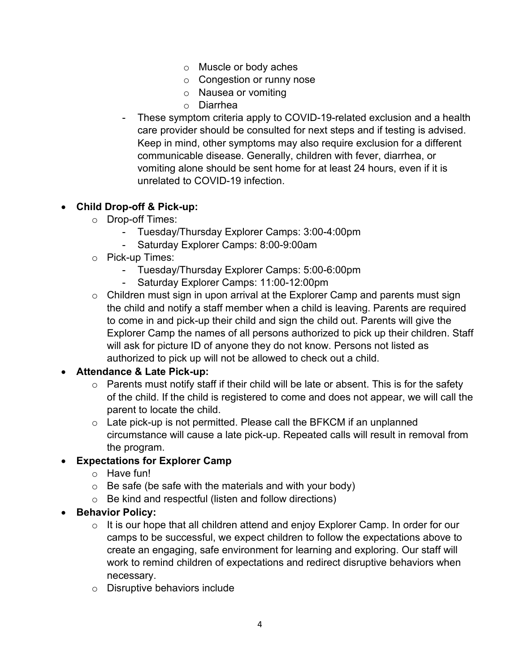- o Muscle or body aches
- o Congestion or runny nose
- o Nausea or vomiting
- o Diarrhea
- These symptom criteria apply to COVID-19-related exclusion and a health care provider should be consulted for next steps and if testing is advised. Keep in mind, other symptoms may also require exclusion for a different communicable disease. Generally, children with fever, diarrhea, or vomiting alone should be sent home for at least 24 hours, even if it is unrelated to COVID-19 infection.

# • **Child Drop-off & Pick-up:**

- o Drop-off Times:
	- Tuesday/Thursday Explorer Camps: 3:00-4:00pm
	- Saturday Explorer Camps: 8:00-9:00am
- o Pick-up Times:
	- Tuesday/Thursday Explorer Camps: 5:00-6:00pm
	- Saturday Explorer Camps: 11:00-12:00pm
- $\circ$  Children must sign in upon arrival at the Explorer Camp and parents must sign the child and notify a staff member when a child is leaving. Parents are required to come in and pick-up their child and sign the child out. Parents will give the Explorer Camp the names of all persons authorized to pick up their children. Staff will ask for picture ID of anyone they do not know. Persons not listed as authorized to pick up will not be allowed to check out a child.

### • **Attendance & Late Pick-up:**

- $\circ$  Parents must notify staff if their child will be late or absent. This is for the safety of the child. If the child is registered to come and does not appear, we will call the parent to locate the child.
- $\circ$  Late pick-up is not permitted. Please call the BFKCM if an unplanned circumstance will cause a late pick-up. Repeated calls will result in removal from the program.

### • **Expectations for Explorer Camp**

- o Have fun!
- $\circ$  Be safe (be safe with the materials and with your body)
- o Be kind and respectful (listen and follow directions)

### • **Behavior Policy:**

- $\circ$  It is our hope that all children attend and enjoy Explorer Camp. In order for our camps to be successful, we expect children to follow the expectations above to create an engaging, safe environment for learning and exploring. Our staff will work to remind children of expectations and redirect disruptive behaviors when necessary.
- o Disruptive behaviors include